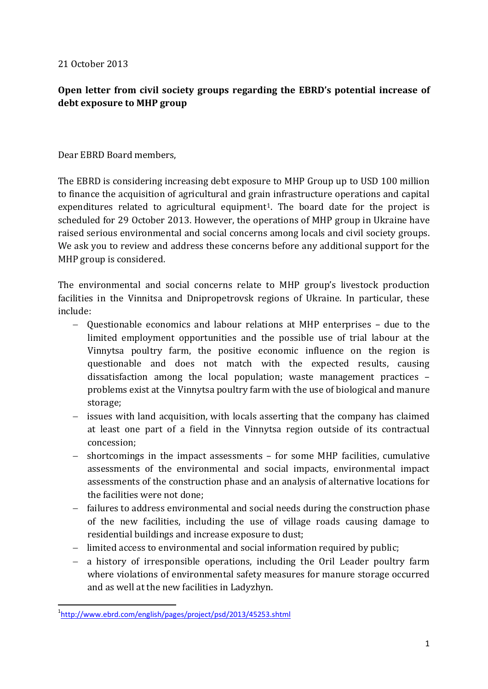21 October 2013

## **Open letter from civil society groups regarding the EBRD's potential increase of debt exposure to MHP group**

## Dear EBRD Board members,

The EBRD is considering increasing debt exposure to MHP Group up to USD 100 million to finance the acquisition of agricultural and grain infrastructure operations and capital expenditures related to agricultural equipment<sup>[1](#page-0-0)</sup>. The board date for the project is scheduled for 29 October 2013. However, the operations of MHP group in Ukraine have raised serious environmental and social concerns among locals and civil society groups. We ask you to review and address these concerns before any additional support for the MHP group is considered.

The environmental and social concerns relate to MHP group's livestock production facilities in the Vinnitsa and Dnipropetrovsk regions of Ukraine. In particular, these include:

- − Questionable economics and labour relations at MHP enterprises due to the limited employment opportunities and the possible use of trial labour at the Vinnytsa poultry farm, the positive economic influence on the region is questionable and does not match with the expected results, causing dissatisfaction among the local population; waste management practices – problems exist at the Vinnytsa poultry farm with the use of biological and manure storage;
- − issues with land acquisition, with locals asserting that the company has claimed at least one part of a field in the Vinnytsa region outside of its contractual concession;
- − shortcomings in the impact assessments for some MHP facilities, cumulative assessments of the environmental and social impacts, environmental impact assessments of the construction phase and an analysis of alternative locations for the facilities were not done;
- − failures to address environmental and social needs during the construction phase of the new facilities, including the use of village roads causing damage to residential buildings and increase exposure to dust;
- − limited access to environmental and social information required by public;
- − a history of irresponsible operations, including the Oril Leader poultry farm where violations of environmental safety measures for manure storage occurred and as well at the new facilities in Ladyzhyn.

<span id="page-0-0"></span> $\overline{1}$ <http://www.ebrd.com/english/pages/project/psd/2013/45253.shtml>